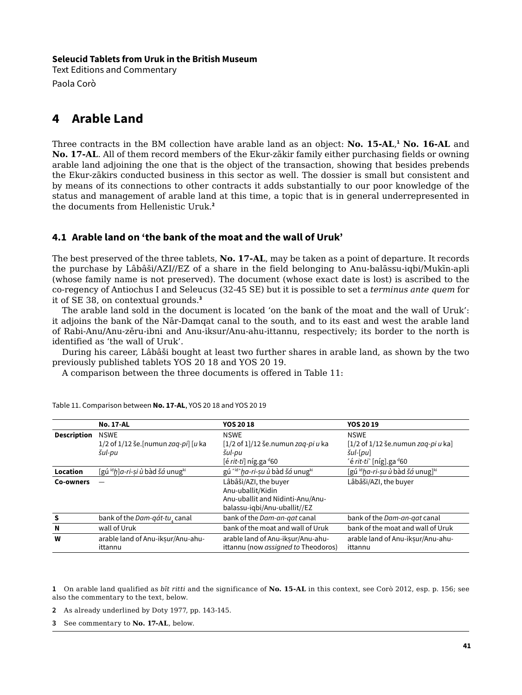### **Seleucid Tablets from Uruk in the British Museum**

Text Editions and Commentary Paola Corò

# **4 Arable Land**

Three contracts in the BM collection have arable land as an object: **No. 15-AL**, **<sup>1</sup> No. 16-AL** and **No. 17-AL**. All of them record members of the Ekur-zākir family either purchasing fields or owning arable land adjoining the one that is the object of the transaction, showing that besides prebends the Ekur-zākirs conducted business in this sector as well. The dossier is small but consistent and by means of its connections to other contracts it adds substantially to our poor knowledge of the status and management of arable land at this time, a topic that is in general underrepresented in the documents from Hellenistic Uruk.**<sup>2</sup>**

## **4.1 Arable land on 'the bank of the moat and the wall of Uruk'**

The best preserved of the three tablets, **No. 17-AL**, may be taken as a point of departure. It records the purchase by Lâbâši/AZI//EZ of a share in the field belonging to Anu-balāssu-iqbi/Mukīn-apli (whose family name is not preserved). The document (whose exact date is lost) is ascribed to the co-regency of Antiochus I and Seleucus (32-45 SE) but it is possible to set a *terminus ante quem* for it of SE 38, on contextual grounds.**<sup>3</sup>**

The arable land sold in the document is located 'on the bank of the moat and the wall of Uruk': it adjoins the bank of the Nār-Damqat canal to the south, and to its east and west the arable land of Rabi-Anu/Anu-zēru-ibni and Anu-iksur/Anu-ahu-ittannu, respectively; its border to the north is identified as 'the wall of Uruk'.

During his career, Lâbâši bought at least two further shares in arable land, as shown by the two previously published tablets YOS 20 18 and YOS 20 19.

A comparison between the three documents is offered in Table 11:

|                    | <b>No. 17-AL</b>                                        | <b>YOS 2018</b>                        | <b>YOS 2019</b>                                            |
|--------------------|---------------------------------------------------------|----------------------------------------|------------------------------------------------------------|
| <b>Description</b> | <b>NSWE</b>                                             | <b>NSWE</b>                            | <b>NSWE</b>                                                |
|                    | 1/2 of $1/12$ še. [numun zag-pi] [u ka                  | $[1/2$ of $1]/12$ še.numun zag-pi u ka | $[1/2$ of $1/12$ še.numun zag-pi u ka]                     |
|                    | šul-pu                                                  | šul-pu                                 | $\tilde{S}$ ul- $[pu]$                                     |
|                    |                                                         | [é rit-ti] níg.ga <sup>d</sup> 60      | 'é rit-ti' [níg].ga <sup>d</sup> 60                        |
| Location           | [gú <sup>íd</sup> ḥ]a-ri-ṣi ù bàd šá unug <sup>ki</sup> | gú rid ha-ri-su ù bàd šá unugki        | $[$ gú <sup>íd</sup> ha-ri-su ù bàd šá unug] <sup>ki</sup> |
| Co-owners          |                                                         | Lâbâši/AZI, the buyer                  | Lâbâši/AZI, the buyer                                      |
|                    |                                                         | Anu-uballit/Kidin                      |                                                            |
|                    |                                                         | Anu-uballit and Nidinti-Anu/Anu-       |                                                            |
|                    |                                                         | balassu-iqbi/Anu-uballit//EZ           |                                                            |
| S                  | bank of the Dam-qát-tu, canal                           | bank of the Dam-an-gat canal           | bank of the Dam-an-gat canal                               |
| N                  | wall of Uruk                                            | bank of the moat and wall of Uruk      | bank of the moat and wall of Uruk                          |
| W                  | arable land of Anu-iksur/Anu-ahu-                       | arable land of Anu-iksur/Anu-ahu-      | arable land of Anu-iksur/Anu-ahu-                          |
|                    | ittannu                                                 | ittannu (now assigned to Theodoros)    | ittannu                                                    |

Table 11. Comparison between **No. 17-AL**, YOS 20 18 and YOS 20 19

**1** On arable land qualified as *bīt ritti* and the significance of **No. 15-AL** in this context, see Corò 2012, esp. p. 156; see also the commentary to the text, below.

**2** As already underlined by Doty 1977, pp. 143-145.

**3** See commentary to **No. 17-AL**, below.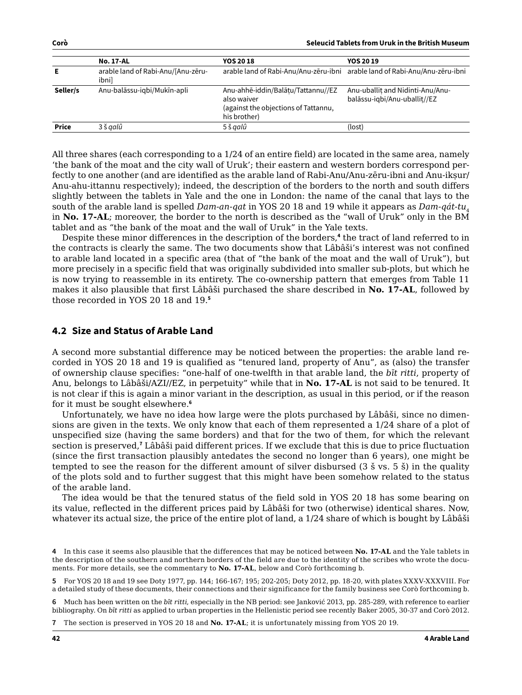|              | <b>No. 17-AL</b>                            | <b>YOS 20 18</b>                                                                                          | <b>YOS 20 19</b>                                                            |
|--------------|---------------------------------------------|-----------------------------------------------------------------------------------------------------------|-----------------------------------------------------------------------------|
| Е            | arable land of Rabi-Anu/[Anu-zēru-<br>ibnil |                                                                                                           | arable land of Rabi-Anu/Anu-zēru-ibni arable land of Rabi-Anu/Anu-zēru-ibni |
| Seller/s     | Anu-balāssu-iqbi/Mukīn-apli                 | Anu-ahhē-iddin/Balātu/Tattannu//EZ<br>also waiver<br>(against the objections of Tattannu,<br>his brother) | Anu-uballit and Nidinti-Anu/Anu-<br>balāssu-igbi/Anu-uballit//EZ            |
| <b>Price</b> | 3 š aalû                                    | 5 š galû                                                                                                  | (lost)                                                                      |

All three shares (each corresponding to a 1/24 of an entire field) are located in the same area, namely 'the bank of the moat and the city wall of Uruk'; their eastern and western borders correspond perfectly to one another (and are identified as the arable land of Rabi-Anu/Anu-zēru-ibni and Anu-ikṣur/ Anu-ahu-ittannu respectively); indeed, the description of the borders to the north and south differs slightly between the tablets in Yale and the one in London: the name of the canal that lays to the south of the arable land is spelled *Dam-an-qat* in YOS 20 18 and 19 while it appears as *Dam-qát-tu*<sub>4</sub> in **No. 17-AL**; moreover, the border to the north is described as the "wall of Uruk" only in the BM tablet and as "the bank of the moat and the wall of Uruk" in the Yale texts.

Despite these minor differences in the description of the borders,**<sup>4</sup>** the tract of land referred to in the contracts is clearly the same. The two documents show that Lâbâši's interest was not confined to arable land located in a specific area (that of "the bank of the moat and the wall of Uruk"), but more precisely in a specific field that was originally subdivided into smaller sub-plots, but which he is now trying to reassemble in its entirety. The co-ownership pattern that emerges from Table 11 makes it also plausible that first Lâbâši purchased the share described in **No. 17-AL**, followed by those recorded in YOS 20 18 and 19.**<sup>5</sup>**

## **4.2 Size and Status of Arable Land**

A second more substantial difference may be noticed between the properties: the arable land recorded in YOS 20 18 and 19 is qualified as "tenured land, property of Anu", as (also) the transfer of ownership clause specifies: "one-half of one-twelfth in that arable land, the *bīt ritti*, property of Anu, belongs to Lâbâši/AZI//EZ, in perpetuity" while that in **No. 17-AL** is not said to be tenured. It is not clear if this is again a minor variant in the description, as usual in this period, or if the reason for it must be sought elsewhere.**<sup>6</sup>**

Unfortunately, we have no idea how large were the plots purchased by Lâbâši, since no dimensions are given in the texts. We only know that each of them represented a 1/24 share of a plot of unspecified size (having the same borders) and that for the two of them, for which the relevant section is preserved,**<sup>7</sup>** Lâbâši paid different prices. If we exclude that this is due to price fluctuation (since the first transaction plausibly antedates the second no longer than 6 years), one might be tempted to see the reason for the different amount of silver disbursed (3 š vs. 5 š) in the quality of the plots sold and to further suggest that this might have been somehow related to the status of the arable land.

The idea would be that the tenured status of the field sold in YOS 20 18 has some bearing on its value, reflected in the different prices paid by Lâbâši for two (otherwise) identical shares. Now, whatever its actual size, the price of the entire plot of land, a 1/24 share of which is bought by Lâbâši

**6** Much has been written on the *bīt ritti*, especially in the NB period: see Janković 2013, pp. 285-289, with reference to earlier bibliography. On *bīt ritti* as applied to urban properties in the Hellenistic period see recently Baker 2005, 30-37 and Corò 2012.

**7** The section is preserved in YOS 20 18 and **No. 17-AL**; it is unfortunately missing from YOS 20 19.

**<sup>4</sup>** In this case it seems also plausible that the differences that may be noticed between **No. 17-AL** and the Yale tablets in the description of the southern and northern borders of the field are due to the identity of the scribes who wrote the documents. For more details, see the commentary to **No. 17-AL**, below and Corò forthcoming b.

**<sup>5</sup>** For YOS 20 18 and 19 see Doty 1977, pp. 144; 166-167; 195; 202-205; Doty 2012, pp. 18-20, with plates XXXV-XXXVIII. For a detailed study of these documents, their connections and their significance for the family business see Corò forthcoming b.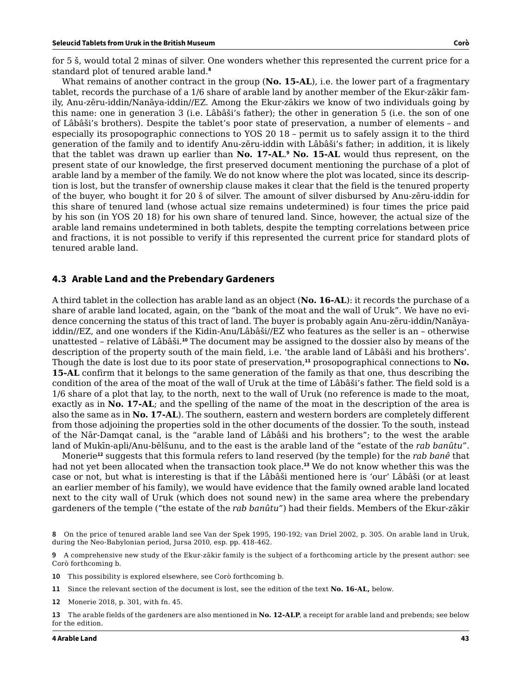for 5 š, would total 2 minas of silver. One wonders whether this represented the current price for a standard plot of tenured arable land.**<sup>8</sup>**

What remains of another contract in the group (**No. 15-AL**), i.e. the lower part of a fragmentary tablet, records the purchase of a 1/6 share of arable land by another member of the Ekur-zākir family, Anu-zēru-iddin/Nanāya-iddin//EZ. Among the Ekur-zākirs we know of two individuals going by this name: one in generation 3 (i.e. Lâbâši's father); the other in generation 5 (i.e. the son of one of Lâbâši's brothers). Despite the tablet's poor state of preservation, a number of elements – and especially its prosopographic connections to YOS 20 18 – permit us to safely assign it to the third generation of the family and to identify Anu-zēru-iddin with Lâbâši's father; in addition, it is likely that the tablet was drawn up earlier than **No. 17-AL**. **<sup>9</sup> No. 15-AL** would thus represent, on the present state of our knowledge, the first preserved document mentioning the purchase of a plot of arable land by a member of the family. We do not know where the plot was located, since its description is lost, but the transfer of ownership clause makes it clear that the field is the tenured property of the buyer, who bought it for 20 š of silver. The amount of silver disbursed by Anu-zēru-iddin for this share of tenured land (whose actual size remains undetermined) is four times the price paid by his son (in YOS 20 18) for his own share of tenured land. Since, however, the actual size of the arable land remains undetermined in both tablets, despite the tempting correlations between price and fractions, it is not possible to verify if this represented the current price for standard plots of tenured arable land.

#### **4.3 Arable Land and the Prebendary Gardeners**

A third tablet in the collection has arable land as an object (**No. 16-AL**): it records the purchase of a share of arable land located, again, on the "bank of the moat and the wall of Uruk". We have no evidence concerning the status of this tract of land. The buyer is probably again Anu-zēru-iddin/Nanāyaiddin//EZ, and one wonders if the Kidin-Anu/Lâbâši//EZ who features as the seller is an – otherwise unattested – relative of Lâbâši.**<sup>10</sup>** The document may be assigned to the dossier also by means of the description of the property south of the main field, i.e. 'the arable land of Lâbâši and his brothers'. Though the date is lost due to its poor state of preservation,**<sup>11</sup>** prosopographical connections to **No. 15-AL** confirm that it belongs to the same generation of the family as that one, thus describing the condition of the area of the moat of the wall of Uruk at the time of Lâbâši's father. The field sold is a 1/6 share of a plot that lay, to the north, next to the wall of Uruk (no reference is made to the moat, exactly as in **No. 17-AL**; and the spelling of the name of the moat in the description of the area is also the same as in **No. 17-AL**). The southern, eastern and western borders are completely different from those adjoining the properties sold in the other documents of the dossier. To the south, instead of the Nār-Damqat canal, is the "arable land of Lâbâši and his brothers"; to the west the arable land of Mukīn-apli/Anu-bēlšunu, and to the east is the arable land of the "estate of the *rab banûtu"*.

Monerie**<sup>12</sup>** suggests that this formula refers to land reserved (by the temple) for the *rab banê* that had not yet been allocated when the transaction took place.**<sup>13</sup>** We do not know whether this was the case or not, but what is interesting is that if the Lâbâši mentioned here is 'our' Lâbâši (or at least an earlier member of his family), we would have evidence that the family owned arable land located next to the city wall of Uruk (which does not sound new) in the same area where the prebendary gardeners of the temple ("the estate of the *rab banûtu"*) had their fields. Members of the Ekur-zākir

**9** A comprehensive new study of the Ekur-zākir family is the subject of a forthcoming article by the present author: see Corò forthcoming b.

- **10** This possibility is explored elsewhere, see Corò forthcoming b.
- **11** Since the relevant section of the document is lost, see the edition of the text **No. 16-AL,** below.
- **12** Monerie 2018, p. 301, with fn. 45.

**<sup>8</sup>** On the price of tenured arable land see Van der Spek 1995, 190-192; van Driel 2002, p. 305. On arable land in Uruk, during the Neo-Babylonian period, Jursa 2010, esp. pp. 418-462.

**<sup>13</sup>** The arable fields of the gardeners are also mentioned in **No. 12-ALP**, a receipt for arable land and prebends; see below for the edition.